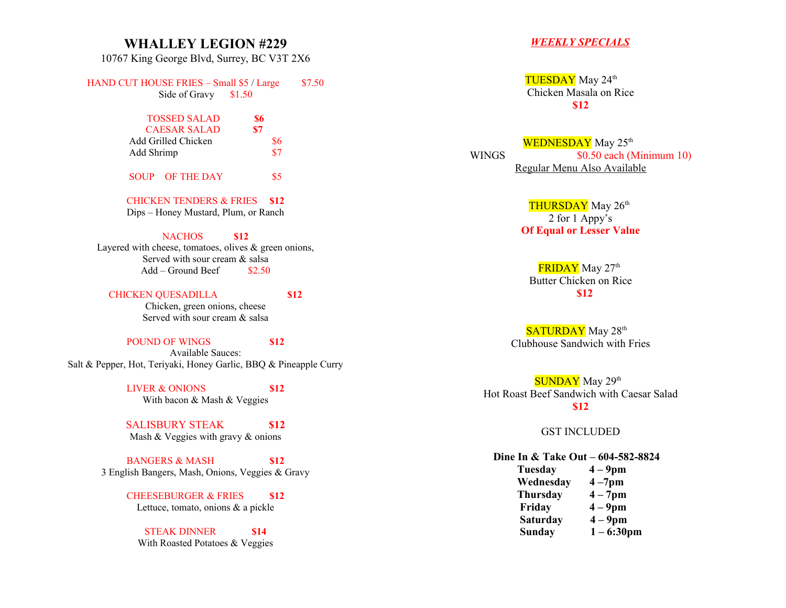### **WHALLEY LEGION #229**

10767 King George Blvd, Surrey, BC V3T 2X6

HAND CUT HOUSE FRIES – Small  $$5/$  Large  $$7.50$ Side of Gravy \$1.50

## TOSSED SALAD **\$6** CAESAR SALAD **\$7** Add Grilled Chicken \$6 Add Shrimp \$7

SOUP OF THE DAY \$5

CHICKEN TENDERS & FRIES **\$12** Dips – Honey Mustard, Plum, or Ranch

#### NACHOS **\$12**

Layered with cheese, tomatoes, olives  $\&$  green onions, Served with sour cream & salsa  $Add - Ground Beef$  \$2.50

#### CHICKEN QUESADILLA **\$12**

Chicken, green onions, cheese Served with sour cream & salsa

#### POUND OF WINGS **\$12**

Available Sauces: Salt & Pepper, Hot, Teriyaki, Honey Garlic, BBQ & Pineapple Curry

> LIVER & ONIONS **\$12** With bacon & Mash & Veggies

> SALISBURY STEAK **\$12** Mash & Veggies with gravy & onions

BANGERS & MASH **\$12** 3 English Bangers, Mash, Onions, Veggies & Gravy

> CHEESEBURGER & FRIES **\$12** Lettuce, tomato, onions & a pickle

STEAK DINNER **\$14** With Roasted Potatoes & Veggies

#### *WEEKLY SPECIALS*

TUESDAY May 24<sup>th</sup> Chicken Masala on Rice **\$12**

WEDNESDAY May 25<sup>th</sup> WINGS  $$0.50$  each (Minimum 10) Regular Menu Also Available

> THURSDAY May 26<sup>th</sup> 2 for 1 Appy's **Of Equal or Lesser Value**

FRIDAY May 27<sup>th</sup> Butter Chicken on Rice  **\$12**

SATURDAY May 28<sup>th</sup> Clubhouse Sandwich with Fries

SUNDAY May 29<sup>th</sup> Hot Roast Beef Sandwich with Caesar Salad **\$12**

GST INCLUDED

#### **Dine In & Take Out – 604-582-8824**

 **Tuesday 4 – 9pm Wednesday 4 –7pm Thursday 4 – 7pm Friday 4 – 9pm Saturday 4 – 9pm Sunday 1 – 6:30pm**